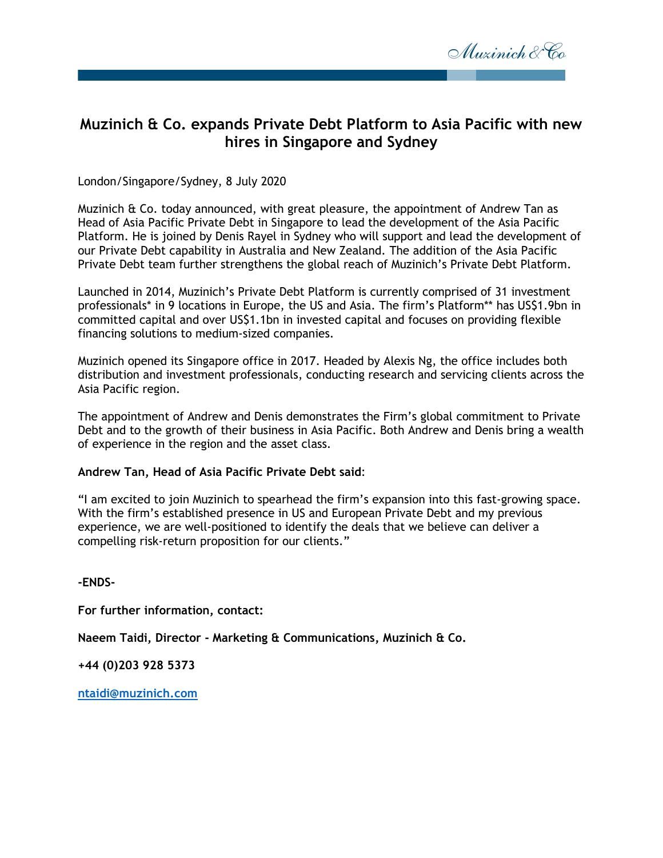

# **Muzinich & Co. expands Private Debt Platform to Asia Pacific with new hires in Singapore and Sydney**

London/Singapore/Sydney, 8 July 2020

Muzinich & Co. today announced, with great pleasure, the appointment of Andrew Tan as Head of Asia Pacific Private Debt in Singapore to lead the development of the Asia Pacific Platform. He is joined by Denis Rayel in Sydney who will support and lead the development of our Private Debt capability in Australia and New Zealand. The addition of the Asia Pacific Private Debt team further strengthens the global reach of Muzinich's Private Debt Platform.

Launched in 2014, Muzinich's Private Debt Platform is currently comprised of 31 investment professionals\* in 9 locations in Europe, the US and Asia. The firm's Platform\*\* has US\$1.9bn in committed capital and over US\$1.1bn in invested capital and focuses on providing flexible financing solutions to medium-sized companies.

Muzinich opened its Singapore office in 2017. Headed by Alexis Ng, the office includes both distribution and investment professionals, conducting research and servicing clients across the Asia Pacific region.

The appointment of Andrew and Denis demonstrates the Firm's global commitment to Private Debt and to the growth of their business in Asia Pacific. Both Andrew and Denis bring a wealth of experience in the region and the asset class.

#### **Andrew Tan, Head of Asia Pacific Private Debt said**:

"I am excited to join Muzinich to spearhead the firm's expansion into this fast-growing space. With the firm's established presence in US and European Private Debt and my previous experience, we are well-positioned to identify the deals that we believe can deliver a compelling risk-return proposition for our clients."

**-ENDS-**

**For further information, contact:**

**Naeem Taidi, Director - Marketing & Communications, Muzinich & Co.**

**+44 (0)203 928 5373**

**[ntaidi@muzinich.com](mailto:ntaidi@muzinich.com)**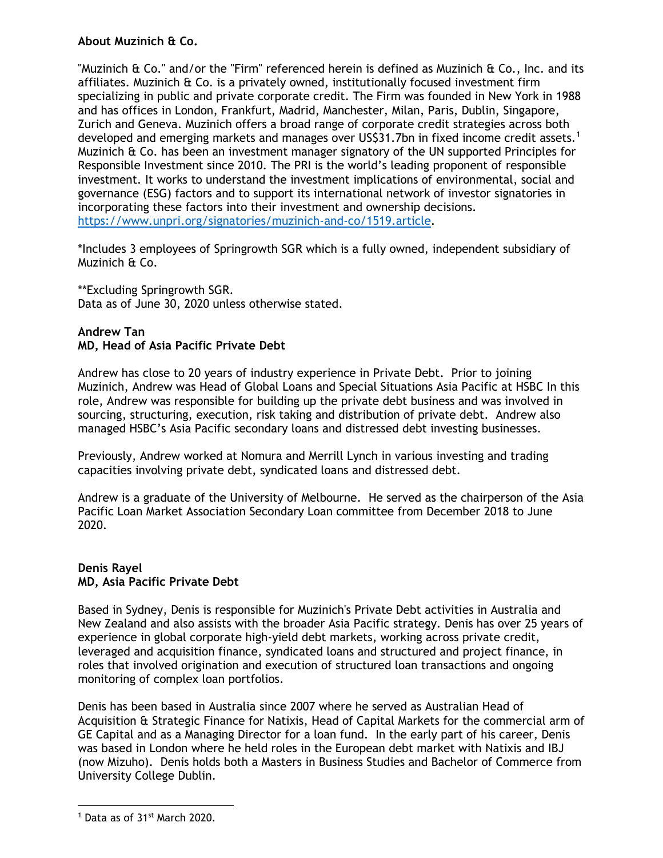## **About Muzinich & Co.**

"Muzinich  $\hat{\alpha}$  Co." and/or the "Firm" referenced herein is defined as Muzinich  $\hat{\alpha}$  Co., Inc. and its affiliates. Muzinich & Co. is a privately owned, institutionally focused investment firm specializing in public and private corporate credit. The Firm was founded in New York in 1988 and has offices in London, Frankfurt, Madrid, Manchester, Milan, Paris, Dublin, Singapore, Zurich and Geneva. Muzinich offers a broad range of corporate credit strategies across both developed and emerging markets and manages over US\$3[1](#page-1-0).7bn in fixed income credit assets.<sup>1</sup> Muzinich & Co. has been an investment manager signatory of the UN supported Principles for Responsible Investment since 2010. The PRI is the world's leading proponent of responsible investment. It works to understand the investment implications of environmental, social and governance (ESG) factors and to support its international network of investor signatories in incorporating these factors into their investment and ownership decisions. [https://www.unpri.org/signatories/muzinich-and-co/1519.article.](https://www.unpri.org/signatories/muzinich-and-co/1519.article)

\*Includes 3 employees of Springrowth SGR which is a fully owned, independent subsidiary of Muzinich & Co.

\*\*Excluding Springrowth SGR. Data as of June 30, 2020 unless otherwise stated.

## **Andrew Tan MD, Head of Asia Pacific Private Debt**

Andrew has close to 20 years of industry experience in Private Debt. Prior to joining Muzinich, Andrew was Head of Global Loans and Special Situations Asia Pacific at HSBC In this role, Andrew was responsible for building up the private debt business and was involved in sourcing, structuring, execution, risk taking and distribution of private debt. Andrew also managed HSBC's Asia Pacific secondary loans and distressed debt investing businesses.

Previously, Andrew worked at Nomura and Merrill Lynch in various investing and trading capacities involving private debt, syndicated loans and distressed debt.

Andrew is a graduate of the University of Melbourne. He served as the chairperson of the Asia Pacific Loan Market Association Secondary Loan committee from December 2018 to June 2020.

#### **Denis Rayel MD, Asia Pacific Private Debt**

Based in Sydney, Denis is responsible for Muzinich's Private Debt activities in Australia and New Zealand and also assists with the broader Asia Pacific strategy. Denis has over 25 years of experience in global corporate high-yield debt markets, working across private credit, leveraged and acquisition finance, syndicated loans and structured and project finance, in roles that involved origination and execution of structured loan transactions and ongoing monitoring of complex loan portfolios.

Denis has been based in Australia since 2007 where he served as Australian Head of Acquisition & Strategic Finance for Natixis, Head of Capital Markets for the commercial arm of GE Capital and as a Managing Director for a loan fund. In the early part of his career, Denis was based in London where he held roles in the European debt market with Natixis and IBJ (now Mizuho). Denis holds both a Masters in Business Studies and Bachelor of Commerce from University College Dublin.

 $\overline{a}$ 

<span id="page-1-0"></span><sup>1</sup> Data as of 31st March 2020.